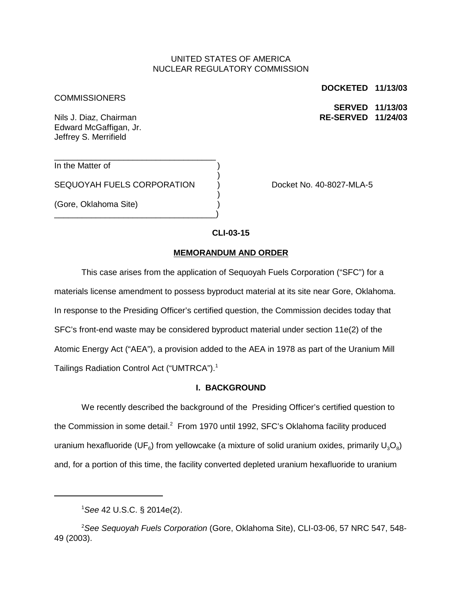# UNITED STATES OF AMERICA NUCLEAR REGULATORY COMMISSION

COMMISSIONERS

**DOCKETED 11/13/03**

**SERVED 11/13/03** Nils J. Diaz, Chairman **RE-SERVED 11/24/03**

Edward McGaffigan, Jr. Jeffrey S. Merrifield

In the Matter of

SEQUOYAH FUELS CORPORATION (a) Docket No. 40-8027-MLA-5

\_\_\_\_\_\_\_\_\_\_\_\_\_\_\_\_\_\_\_\_\_\_\_\_\_\_\_\_\_\_\_\_\_\_\_

\_\_\_\_\_\_\_\_\_\_\_\_\_\_\_\_\_\_\_\_\_\_\_\_\_\_\_\_\_\_\_\_\_\_\_)

(Gore, Oklahoma Site) )

**CLI-03-15**

)

)

### **MEMORANDUM AND ORDER**

This case arises from the application of Sequoyah Fuels Corporation ("SFC") for a materials license amendment to possess byproduct material at its site near Gore, Oklahoma. In response to the Presiding Officer's certified question, the Commission decides today that SFC's front-end waste may be considered byproduct material under section 11e(2) of the Atomic Energy Act ("AEA"), a provision added to the AEA in 1978 as part of the Uranium Mill Tailings Radiation Control Act ("UMTRCA").<sup>1</sup>

# **I. BACKGROUND**

We recently described the background of the Presiding Officer's certified question to the Commission in some detail.<sup>2</sup> From 1970 until 1992, SFC's Oklahoma facility produced uranium hexafluoride (UF<sub>6</sub>) from yellowcake (a mixture of solid uranium oxides, primarily  $U_3O_8$ ) and, for a portion of this time, the facility converted depleted uranium hexafluoride to uranium

<sup>1</sup> *See* 42 U.S.C. § 2014e(2).

<sup>2</sup> *See Sequoyah Fuels Corporation* (Gore, Oklahoma Site), CLI-03-06, 57 NRC 547, 548- 49 (2003).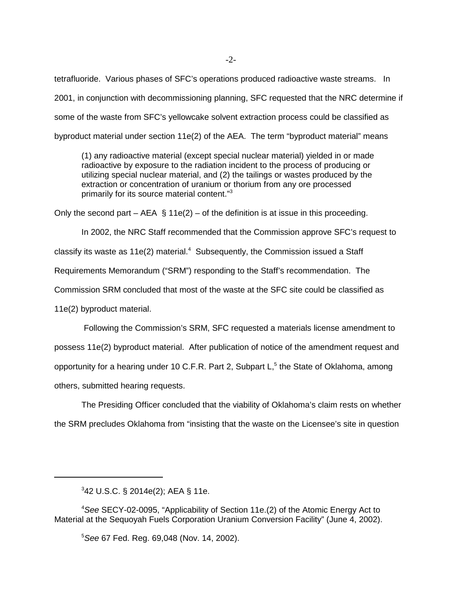tetrafluoride. Various phases of SFC's operations produced radioactive waste streams. In 2001, in conjunction with decommissioning planning, SFC requested that the NRC determine if some of the waste from SFC's yellowcake solvent extraction process could be classified as byproduct material under section 11e(2) of the AEA. The term "byproduct material" means

(1) any radioactive material (except special nuclear material) yielded in or made radioactive by exposure to the radiation incident to the process of producing or utilizing special nuclear material, and (2) the tailings or wastes produced by the extraction or concentration of uranium or thorium from any ore processed primarily for its source material content."<sup>3</sup>

Only the second part – AEA § 11e(2) – of the definition is at issue in this proceeding.

In 2002, the NRC Staff recommended that the Commission approve SFC's request to classify its waste as  $11e(2)$  material.<sup>4</sup> Subsequently, the Commission issued a Staff Requirements Memorandum ("SRM") responding to the Staff's recommendation. The Commission SRM concluded that most of the waste at the SFC site could be classified as 11e(2) byproduct material.

 Following the Commission's SRM, SFC requested a materials license amendment to possess 11e(2) byproduct material. After publication of notice of the amendment request and opportunity for a hearing under 10 C.F.R. Part 2, Subpart L,<sup>5</sup> the State of Oklahoma, among others, submitted hearing requests.

The Presiding Officer concluded that the viability of Oklahoma's claim rests on whether the SRM precludes Oklahoma from "insisting that the waste on the Licensee's site in question

<sup>3</sup> 42 U.S.C. § 2014e(2); AEA § 11e.

<sup>4</sup> *See* SECY-02-0095, "Applicability of Section 11e.(2) of the Atomic Energy Act to Material at the Sequoyah Fuels Corporation Uranium Conversion Facility" (June 4, 2002).

<sup>5</sup> *See* 67 Fed. Reg. 69,048 (Nov. 14, 2002).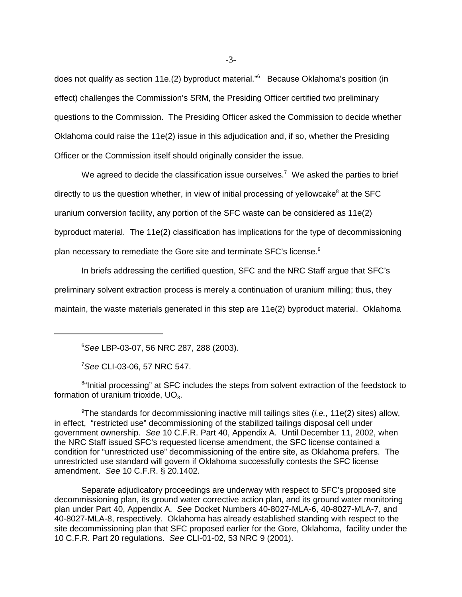does not qualify as section 11e.(2) byproduct material."6 Because Oklahoma's position (in effect) challenges the Commission's SRM, the Presiding Officer certified two preliminary questions to the Commission. The Presiding Officer asked the Commission to decide whether Oklahoma could raise the 11e(2) issue in this adjudication and, if so, whether the Presiding Officer or the Commission itself should originally consider the issue.

We agreed to decide the classification issue ourselves.<sup>7</sup> We asked the parties to brief directly to us the question whether, in view of initial processing of yellowcake<sup>8</sup> at the SFC uranium conversion facility, any portion of the SFC waste can be considered as 11e(2) byproduct material. The 11e(2) classification has implications for the type of decommissioning plan necessary to remediate the Gore site and terminate SFC's license.<sup>9</sup>

In briefs addressing the certified question, SFC and the NRC Staff argue that SFC's preliminary solvent extraction process is merely a continuation of uranium milling; thus, they maintain, the waste materials generated in this step are 11e(2) byproduct material. Oklahoma

6 *See* LBP-03-07, 56 NRC 287, 288 (2003).

7 *See* CLI-03-06, 57 NRC 547.

<sup>8</sup>"Initial processing" at SFC includes the steps from solvent extraction of the feedstock to formation of uranium trioxide,  $UO<sub>3</sub>$ .

9 The standards for decommissioning inactive mill tailings sites (*i.e.,* 11e(2) sites) allow, in effect, "restricted use" decommissioning of the stabilized tailings disposal cell under government ownership. *See* 10 C.F.R. Part 40, Appendix A. Until December 11, 2002, when the NRC Staff issued SFC's requested license amendment, the SFC license contained a condition for "unrestricted use" decommissioning of the entire site, as Oklahoma prefers. The unrestricted use standard will govern if Oklahoma successfully contests the SFC license amendment. *See* 10 C.F.R. § 20.1402.

Separate adjudicatory proceedings are underway with respect to SFC's proposed site decommissioning plan, its ground water corrective action plan, and its ground water monitoring plan under Part 40, Appendix A. *See* Docket Numbers 40-8027-MLA-6, 40-8027-MLA-7, and 40-8027-MLA-8, respectively. Oklahoma has already established standing with respect to the site decommissioning plan that SFC proposed earlier for the Gore, Oklahoma, facility under the 10 C.F.R. Part 20 regulations. *See* CLI-01-02, 53 NRC 9 (2001).

-3-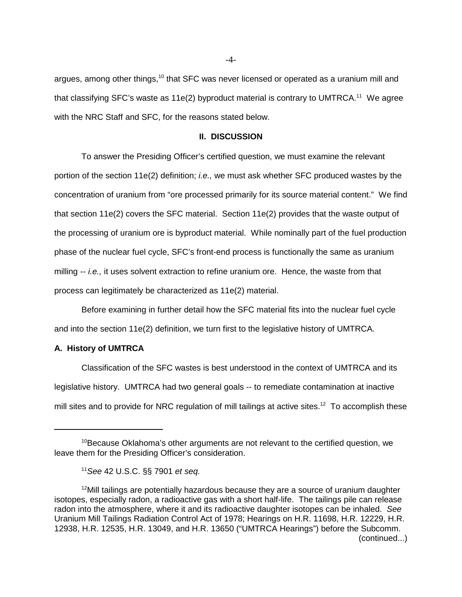argues, among other things,<sup>10</sup> that SFC was never licensed or operated as a uranium mill and that classifying SFC's waste as 11e(2) byproduct material is contrary to UMTRCA.<sup>11</sup> We agree with the NRC Staff and SFC, for the reasons stated below.

### **II. DISCUSSION**

To answer the Presiding Officer's certified question, we must examine the relevant portion of the section 11e(2) definition; *i.e.,* we must ask whether SFC produced wastes by the concentration of uranium from "ore processed primarily for its source material content." We find that section 11e(2) covers the SFC material. Section 11e(2) provides that the waste output of the processing of uranium ore is byproduct material. While nominally part of the fuel production phase of the nuclear fuel cycle, SFC's front-end process is functionally the same as uranium milling -- *i.e.,* it uses solvent extraction to refine uranium ore. Hence, the waste from that process can legitimately be characterized as 11e(2) material.

Before examining in further detail how the SFC material fits into the nuclear fuel cycle and into the section 11e(2) definition, we turn first to the legislative history of UMTRCA.

### **A. History of UMTRCA**

Classification of the SFC wastes is best understood in the context of UMTRCA and its legislative history. UMTRCA had two general goals -- to remediate contamination at inactive mill sites and to provide for NRC regulation of mill tailings at active sites.<sup>12</sup> To accomplish these

 $10B$ Because Oklahoma's other arguments are not relevant to the certified question, we leave them for the Presiding Officer's consideration.

<sup>11</sup>*See* 42 U.S.C. §§ 7901 *et seq.*

 $12$ Mill tailings are potentially hazardous because they are a source of uranium daughter isotopes, especially radon, a radioactive gas with a short half-life. The tailings pile can release radon into the atmosphere, where it and its radioactive daughter isotopes can be inhaled. *See* Uranium Mill Tailings Radiation Control Act of 1978; Hearings on H.R. 11698, H.R. 12229, H.R. 12938, H.R. 12535, H.R. 13049, and H.R. 13650 ("UMTRCA Hearings") before the Subcomm. (continued...)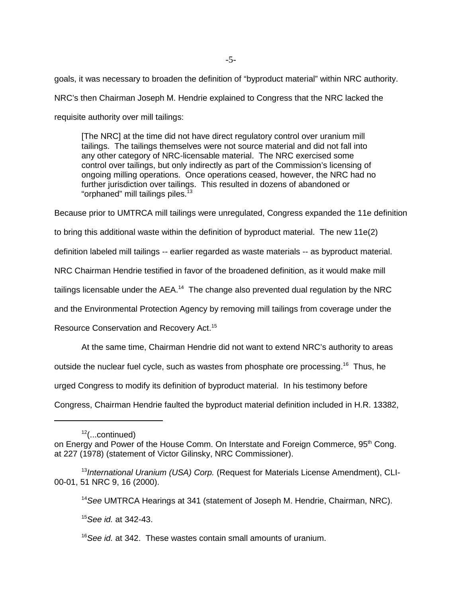goals, it was necessary to broaden the definition of "byproduct material" within NRC authority. NRC's then Chairman Joseph M. Hendrie explained to Congress that the NRC lacked the requisite authority over mill tailings:

[The NRC] at the time did not have direct regulatory control over uranium mill tailings. The tailings themselves were not source material and did not fall into any other category of NRC-licensable material. The NRC exercised some control over tailings, but only indirectly as part of the Commission's licensing of ongoing milling operations. Once operations ceased, however, the NRC had no further jurisdiction over tailings. This resulted in dozens of abandoned or "orphaned" mill tailings piles.<sup>13</sup>

Because prior to UMTRCA mill tailings were unregulated, Congress expanded the 11e definition

to bring this additional waste within the definition of byproduct material. The new 11e(2)

definition labeled mill tailings -- earlier regarded as waste materials -- as byproduct material.

NRC Chairman Hendrie testified in favor of the broadened definition, as it would make mill

tailings licensable under the  $AEA$ <sup>14</sup> The change also prevented dual regulation by the NRC

and the Environmental Protection Agency by removing mill tailings from coverage under the

Resource Conservation and Recovery Act.15

At the same time, Chairman Hendrie did not want to extend NRC's authority to areas

outside the nuclear fuel cycle, such as wastes from phosphate ore processing.<sup>16</sup> Thus, he

urged Congress to modify its definition of byproduct material. In his testimony before

Congress, Chairman Hendrie faulted the byproduct material definition included in H.R. 13382,

<sup>15</sup>*See id.* at 342-43.

<sup>16</sup>*See id.* at 342. These wastes contain small amounts of uranium.

 $12$ (...continued)

on Energy and Power of the House Comm. On Interstate and Foreign Commerce, 95<sup>th</sup> Cong. at 227 (1978) (statement of Victor Gilinsky, NRC Commissioner).

<sup>13</sup>*International Uranium (USA) Corp.* (Request for Materials License Amendment), CLI-00-01, 51 NRC 9, 16 (2000).

<sup>14</sup>*See* UMTRCA Hearings at 341 (statement of Joseph M. Hendrie, Chairman, NRC).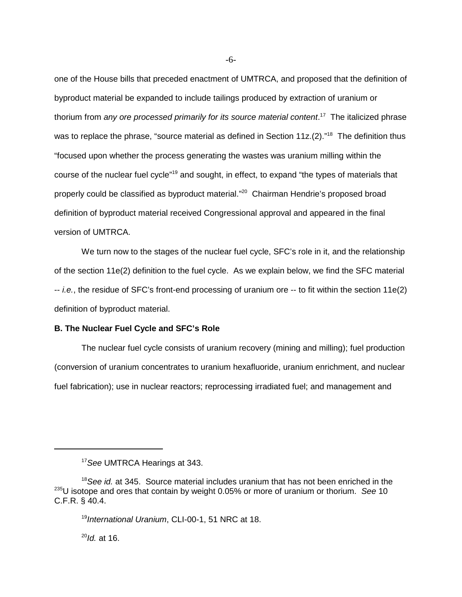one of the House bills that preceded enactment of UMTRCA, and proposed that the definition of byproduct material be expanded to include tailings produced by extraction of uranium or thorium from *any ore processed primarily for its source material content*. 17 The italicized phrase was to replace the phrase, "source material as defined in Section 11z.(2)."<sup>18</sup> The definition thus "focused upon whether the process generating the wastes was uranium milling within the course of the nuclear fuel cycle"19 and sought, in effect, to expand "the types of materials that properly could be classified as byproduct material."20 Chairman Hendrie's proposed broad definition of byproduct material received Congressional approval and appeared in the final version of UMTRCA.

We turn now to the stages of the nuclear fuel cycle, SFC's role in it, and the relationship of the section 11e(2) definition to the fuel cycle. As we explain below, we find the SFC material -- *i.e.*, the residue of SFC's front-end processing of uranium ore -- to fit within the section 11e(2) definition of byproduct material.

### **B. The Nuclear Fuel Cycle and SFC's Role**

The nuclear fuel cycle consists of uranium recovery (mining and milling); fuel production (conversion of uranium concentrates to uranium hexafluoride, uranium enrichment, and nuclear fuel fabrication); use in nuclear reactors; reprocessing irradiated fuel; and management and

<sup>20</sup>*Id.* at 16.

<sup>17</sup>*See* UMTRCA Hearings at 343.

<sup>18</sup>*See id.* at 345. Source material includes uranium that has not been enriched in the 235U isotope and ores that contain by weight 0.05% or more of uranium or thorium. *See* 10 C.F.R. § 40.4.

<sup>19</sup>*International Uranium*, CLI-00-1, 51 NRC at 18.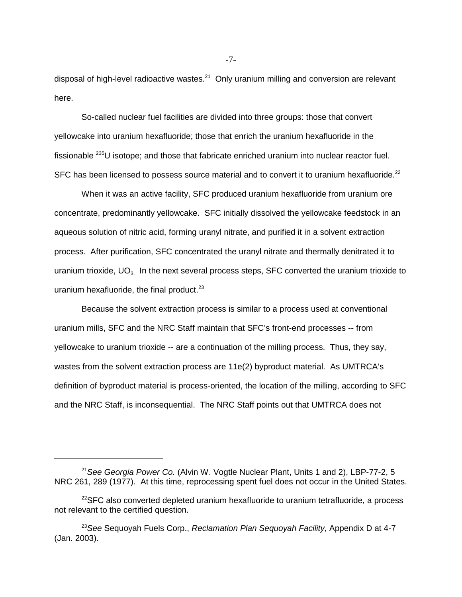disposal of high-level radioactive wastes. $21$  Only uranium milling and conversion are relevant here.

So-called nuclear fuel facilities are divided into three groups: those that convert yellowcake into uranium hexafluoride; those that enrich the uranium hexafluoride in the fissionable <sup>235</sup>U isotope; and those that fabricate enriched uranium into nuclear reactor fuel. SFC has been licensed to possess source material and to convert it to uranium hexafluoride.<sup>22</sup>

When it was an active facility, SFC produced uranium hexafluoride from uranium ore concentrate, predominantly yellowcake. SFC initially dissolved the yellowcake feedstock in an aqueous solution of nitric acid, forming uranyl nitrate, and purified it in a solvent extraction process. After purification, SFC concentrated the uranyl nitrate and thermally denitrated it to uranium trioxide,  $UO_3$ . In the next several process steps, SFC converted the uranium trioxide to uranium hexafluoride, the final product. $23$ 

Because the solvent extraction process is similar to a process used at conventional uranium mills, SFC and the NRC Staff maintain that SFC's front-end processes -- from yellowcake to uranium trioxide -- are a continuation of the milling process. Thus, they say, wastes from the solvent extraction process are 11e(2) byproduct material. As UMTRCA's definition of byproduct material is process-oriented, the location of the milling, according to SFC and the NRC Staff, is inconsequential. The NRC Staff points out that UMTRCA does not

<sup>21</sup>*See Georgia Power Co.* (Alvin W. Vogtle Nuclear Plant, Units 1 and 2), LBP-77-2, 5 NRC 261, 289 (1977). At this time, reprocessing spent fuel does not occur in the United States.

 $22$ SFC also converted depleted uranium hexafluoride to uranium tetrafluoride, a process not relevant to the certified question.

<sup>23</sup>*See* Sequoyah Fuels Corp., *Reclamation Plan Sequoyah Facility,* Appendix D at 4-7 (Jan. 2003).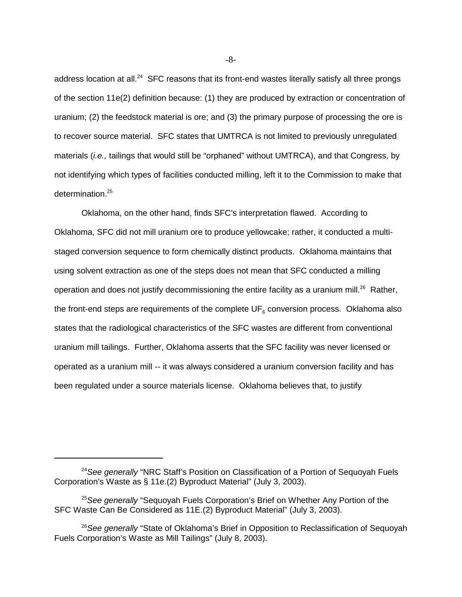address location at all.<sup>24</sup> SFC reasons that its front-end wastes literally satisfy all three prongs of the section 11e(2) definition because: (1) they are produced by extraction or concentration of uranium; (2) the feedstock material is ore; and (3) the primary purpose of processing the ore is to recover source material. SFC states that UMTRCA is not limited to previously unregulated materials (*i.e.,* tailings that would still be "orphaned" without UMTRCA), and that Congress, by not identifying which types of facilities conducted milling, left it to the Commission to make that determination.25

Oklahoma, on the other hand, finds SFC's interpretation flawed. According to Oklahoma, SFC did not mill uranium ore to produce yellowcake; rather, it conducted a multistaged conversion sequence to form chemically distinct products. Oklahoma maintains that using solvent extraction as one of the steps does not mean that SFC conducted a milling operation and does not justify decommissioning the entire facility as a uranium mill.<sup>26</sup> Rather, the front-end steps are requirements of the complete  $UF<sub>6</sub>$  conversion process. Oklahoma also states that the radiological characteristics of the SFC wastes are different from conventional uranium mill tailings. Further, Oklahoma asserts that the SFC facility was never licensed or operated as a uranium mill -- it was always considered a uranium conversion facility and has been regulated under a source materials license. Oklahoma believes that, to justify

-8-

<sup>24</sup>*See generally* "NRC Staff's Position on Classification of a Portion of Sequoyah Fuels Corporation's Waste as § 11e.(2) Byproduct Material" (July 3, 2003).

<sup>25</sup>*See generally* "Sequoyah Fuels Corporation's Brief on Whether Any Portion of the SFC Waste Can Be Considered as 11E.(2) Byproduct Material" (July 3, 2003).

<sup>26</sup>*See generally* "State of Oklahoma's Brief in Opposition to Reclassification of Sequoyah Fuels Corporation's Waste as Mill Tailings" (July 8, 2003).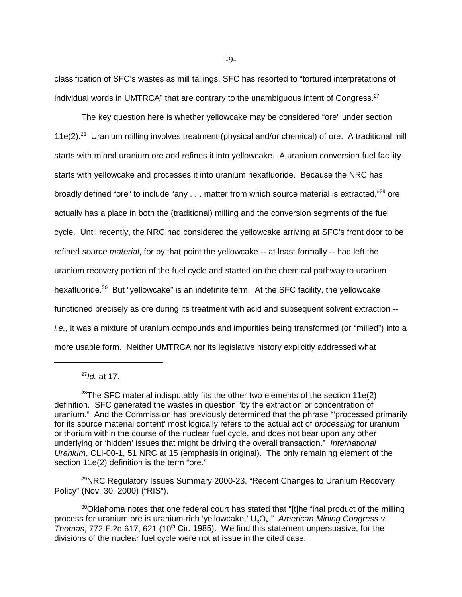classification of SFC's wastes as mill tailings, SFC has resorted to "tortured interpretations of individual words in UMTRCA" that are contrary to the unambiguous intent of Congress.<sup>27</sup>

The key question here is whether yellowcake may be considered "ore" under section 11e(2).28 Uranium milling involves treatment (physical and/or chemical) of ore. A traditional mill starts with mined uranium ore and refines it into yellowcake. A uranium conversion fuel facility starts with yellowcake and processes it into uranium hexafluoride. Because the NRC has broadly defined "ore" to include "any . . . matter from which source material is extracted,"29 ore actually has a place in both the (traditional) milling and the conversion segments of the fuel cycle. Until recently, the NRC had considered the yellowcake arriving at SFC's front door to be refined *source material*, for by that point the yellowcake -- at least formally -- had left the uranium recovery portion of the fuel cycle and started on the chemical pathway to uranium hexafluoride.<sup>30</sup> But "yellowcake" is an indefinite term. At the SFC facility, the yellowcake functioned precisely as ore during its treatment with acid and subsequent solvent extraction - *i.e.,* it was a mixture of uranium compounds and impurities being transformed (or "milled") into a more usable form. Neither UMTRCA nor its legislative history explicitly addressed what

<sup>27</sup>*Id.* at 17.

<sup>29</sup>NRC Regulatory Issues Summary 2000-23, "Recent Changes to Uranium Recovery Policy" (Nov. 30, 2000) ("RIS").

-9-

 $28$ The SFC material indisputably fits the other two elements of the section 11e(2) definition. SFC generated the wastes in question "by the extraction or concentration of uranium." And the Commission has previously determined that the phrase "'processed primarily for its source material content' most logically refers to the actual act of *processing* for uranium or thorium within the course of the nuclear fuel cycle, and does not bear upon any other underlying or 'hidden' issues that might be driving the overall transaction." *International Uranium*, CLI-00-1, 51 NRC at 15 (emphasis in original). The only remaining element of the section 11e(2) definition is the term "ore."

 $30$ Oklahoma notes that one federal court has stated that "[t]he final product of the milling process for uranium ore is uranium-rich 'yellowcake,' U<sub>3</sub>O<sub>8</sub>." *American Mining Congress v. Thomas*, 772 F.2d 617, 621 (10<sup>th</sup> Cir. 1985). We find this statement unpersuasive, for the divisions of the nuclear fuel cycle were not at issue in the cited case.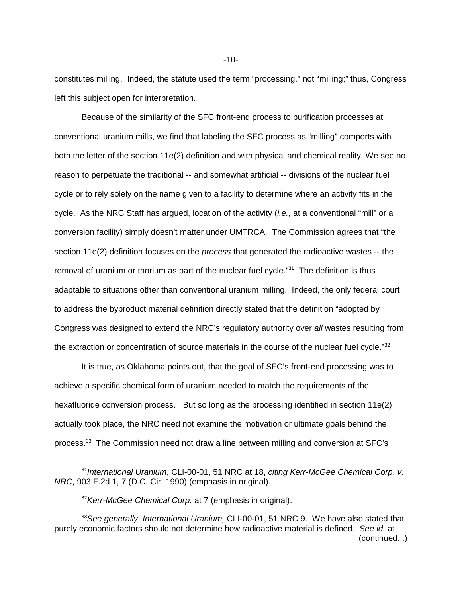constitutes milling. Indeed, the statute used the term "processing," not "milling;" thus, Congress left this subject open for interpretation.

Because of the similarity of the SFC front-end process to purification processes at conventional uranium mills, we find that labeling the SFC process as "milling" comports with both the letter of the section 11e(2) definition and with physical and chemical reality. We see no reason to perpetuate the traditional -- and somewhat artificial -- divisions of the nuclear fuel cycle or to rely solely on the name given to a facility to determine where an activity fits in the cycle. As the NRC Staff has argued, location of the activity (*i.e.,* at a conventional "mill" or a conversion facility) simply doesn't matter under UMTRCA. The Commission agrees that "the section 11e(2) definition focuses on the *process* that generated the radioactive wastes -- the removal of uranium or thorium as part of the nuclear fuel cycle."<sup>31</sup> The definition is thus adaptable to situations other than conventional uranium milling. Indeed, the only federal court to address the byproduct material definition directly stated that the definition "adopted by Congress was designed to extend the NRC's regulatory authority over *all* wastes resulting from the extraction or concentration of source materials in the course of the nuclear fuel cycle."<sup>32</sup>

It is true, as Oklahoma points out, that the goal of SFC's front-end processing was to achieve a specific chemical form of uranium needed to match the requirements of the hexafluoride conversion process. But so long as the processing identified in section 11e(2) actually took place, the NRC need not examine the motivation or ultimate goals behind the process.<sup>33</sup> The Commission need not draw a line between milling and conversion at SFC's

<sup>32</sup>*Kerr-McGee Chemical Corp.* at 7 (emphasis in original).

<sup>31</sup>*International Uranium*, CLI-00-01, 51 NRC at 18, *citing Kerr-McGee Chemical Corp. v. NRC*, 903 F.2d 1, 7 (D.C. Cir. 1990) (emphasis in original).

<sup>33</sup>*See generally*, *International Uranium,* CLI-00-01, 51 NRC 9. We have also stated that purely economic factors should not determine how radioactive material is defined. *See id.* at (continued...)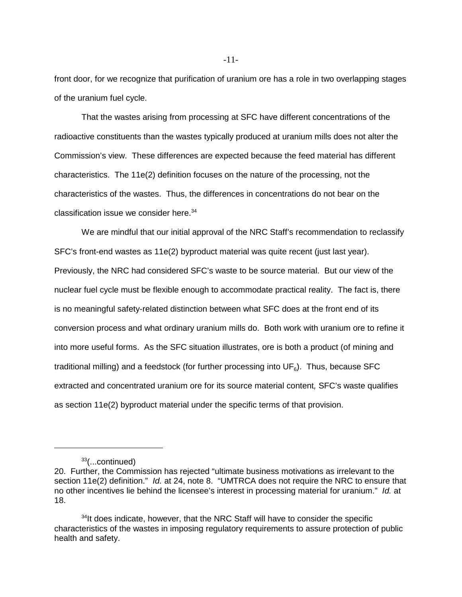front door, for we recognize that purification of uranium ore has a role in two overlapping stages of the uranium fuel cycle.

That the wastes arising from processing at SFC have different concentrations of the radioactive constituents than the wastes typically produced at uranium mills does not alter the Commission's view. These differences are expected because the feed material has different characteristics. The 11e(2) definition focuses on the nature of the processing, not the characteristics of the wastes. Thus, the differences in concentrations do not bear on the classification issue we consider here. $34$ 

We are mindful that our initial approval of the NRC Staff's recommendation to reclassify SFC's front-end wastes as 11e(2) byproduct material was quite recent (just last year). Previously, the NRC had considered SFC's waste to be source material. But our view of the nuclear fuel cycle must be flexible enough to accommodate practical reality. The fact is, there is no meaningful safety-related distinction between what SFC does at the front end of its conversion process and what ordinary uranium mills do. Both work with uranium ore to refine it into more useful forms. As the SFC situation illustrates, ore is both a product (of mining and traditional milling) and a feedstock (for further processing into  $UF<sub>6</sub>$ ). Thus, because SFC extracted and concentrated uranium ore for its source material content*,* SFC's waste qualifies as section 11e(2) byproduct material under the specific terms of that provision.

<sup>&</sup>lt;sup>33</sup>(...continued)

<sup>20.</sup> Further, the Commission has rejected "ultimate business motivations as irrelevant to the section 11e(2) definition." *Id.* at 24, note 8. "UMTRCA does not require the NRC to ensure that no other incentives lie behind the licensee's interest in processing material for uranium." *Id.* at 18.

 $34$ It does indicate, however, that the NRC Staff will have to consider the specific characteristics of the wastes in imposing regulatory requirements to assure protection of public health and safety.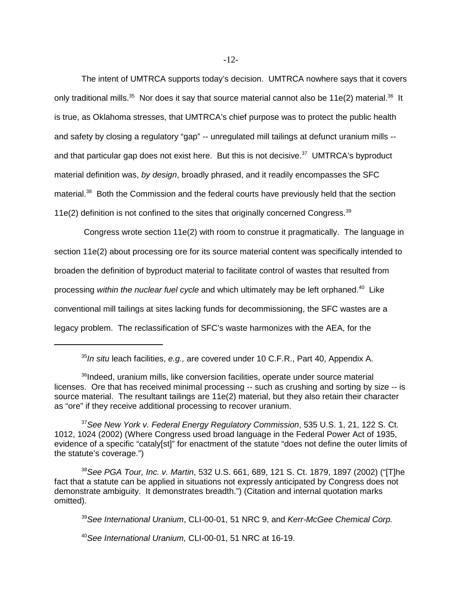The intent of UMTRCA supports today's decision. UMTRCA nowhere says that it covers only traditional mills.<sup>35</sup> Nor does it say that source material cannot also be 11e(2) material.<sup>36</sup> It is true, as Oklahoma stresses, that UMTRCA's chief purpose was to protect the public health and safety by closing a regulatory "gap" -- unregulated mill tailings at defunct uranium mills - and that particular gap does not exist here. But this is not decisive. $37$  UMTRCA's byproduct material definition was, *by design*, broadly phrased, and it readily encompasses the SFC material.<sup>38</sup> Both the Commission and the federal courts have previously held that the section 11e(2) definition is not confined to the sites that originally concerned Congress. $39$ 

 Congress wrote section 11e(2) with room to construe it pragmatically. The language in section 11e(2) about processing ore for its source material content was specifically intended to broaden the definition of byproduct material to facilitate control of wastes that resulted from processing *within the nuclear fuel cycle* and which ultimately may be left orphaned.<sup>40</sup> Like conventional mill tailings at sites lacking funds for decommissioning, the SFC wastes are a legacy problem. The reclassification of SFC's waste harmonizes with the AEA, for the

<sup>35</sup>*In situ* leach facilities, *e.g.,* are covered under 10 C.F.R., Part 40, Appendix A.

<sup>&</sup>lt;sup>36</sup>Indeed, uranium mills, like conversion facilities, operate under source material licenses. Ore that has received minimal processing -- such as crushing and sorting by size -- is source material. The resultant tailings are 11e(2) material, but they also retain their character as "ore" if they receive additional processing to recover uranium.

<sup>37</sup>*See New York v. Federal Energy Regulatory Commission*, 535 U.S. 1, 21, 122 S. Ct. 1012, 1024 (2002) (Where Congress used broad language in the Federal Power Act of 1935, evidence of a specific "cataly[st]" for enactment of the statute "does not define the outer limits of the statute's coverage.")

<sup>38</sup>*See PGA Tour, Inc. v. Martin*, 532 U.S. 661, 689, 121 S. Ct. 1879, 1897 (2002) ("[T]he fact that a statute can be applied in situations not expressly anticipated by Congress does not demonstrate ambiguity. It demonstrates breadth.") (Citation and internal quotation marks omitted).

<sup>39</sup>*See International Uranium*, CLI-00-01, 51 NRC 9, and *Kerr-McGee Chemical Corp.*

<sup>40</sup>*See International Uranium,* CLI-00-01, 51 NRC at 16-19.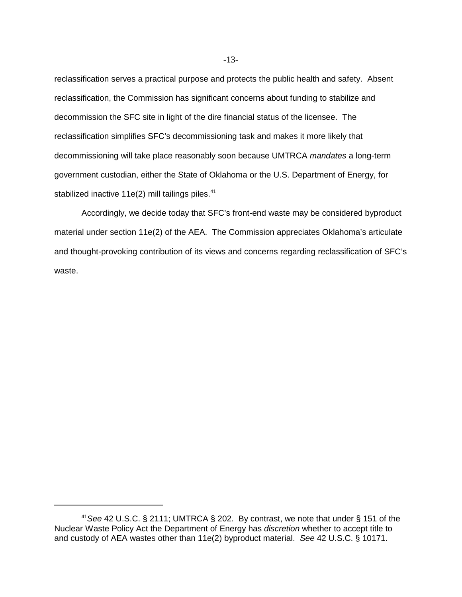reclassification serves a practical purpose and protects the public health and safety. Absent reclassification, the Commission has significant concerns about funding to stabilize and decommission the SFC site in light of the dire financial status of the licensee. The reclassification simplifies SFC's decommissioning task and makes it more likely that decommissioning will take place reasonably soon because UMTRCA *mandates* a long-term government custodian, either the State of Oklahoma or the U.S. Department of Energy, for stabilized inactive  $11e(2)$  mill tailings piles.<sup>41</sup>

Accordingly, we decide today that SFC's front-end waste may be considered byproduct material under section 11e(2) of the AEA. The Commission appreciates Oklahoma's articulate and thought-provoking contribution of its views and concerns regarding reclassification of SFC's waste.

<sup>41</sup>*See* 42 U.S.C. § 2111; UMTRCA § 202. By contrast, we note that under § 151 of the Nuclear Waste Policy Act the Department of Energy has *discretion* whether to accept title to and custody of AEA wastes other than 11e(2) byproduct material. *See* 42 U.S.C. § 10171.